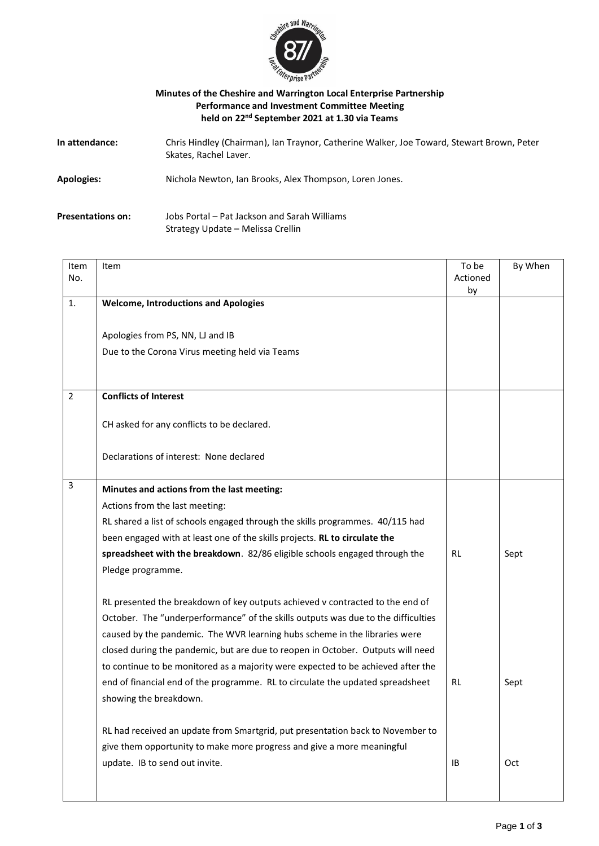

## **Minutes of the Cheshire and Warrington Local Enterprise Partnership Performance and Investment Committee Meeting held on 22 nd September 2021 at 1.30 via Teams**

| In attendance:           | Chris Hindley (Chairman), Ian Traynor, Catherine Walker, Joe Toward, Stewart Brown, Peter<br>Skates, Rachel Laver. |
|--------------------------|--------------------------------------------------------------------------------------------------------------------|
| Apologies:               | Nichola Newton, Ian Brooks, Alex Thompson, Loren Jones.                                                            |
| <b>Presentations on:</b> | Jobs Portal – Pat Jackson and Sarah Williams                                                                       |

Strategy Update – Melissa Crellin

| Item           | Item                                                                              | To be          | By When |
|----------------|-----------------------------------------------------------------------------------|----------------|---------|
| No.            |                                                                                   | Actioned<br>by |         |
| 1.             | <b>Welcome, Introductions and Apologies</b>                                       |                |         |
|                |                                                                                   |                |         |
|                | Apologies from PS, NN, LJ and IB                                                  |                |         |
|                | Due to the Corona Virus meeting held via Teams                                    |                |         |
|                |                                                                                   |                |         |
|                |                                                                                   |                |         |
| $\overline{2}$ | <b>Conflicts of Interest</b>                                                      |                |         |
|                |                                                                                   |                |         |
|                | CH asked for any conflicts to be declared.                                        |                |         |
|                | Declarations of interest: None declared                                           |                |         |
|                |                                                                                   |                |         |
| $\mathbf{3}$   | Minutes and actions from the last meeting:                                        |                |         |
|                | Actions from the last meeting:                                                    |                |         |
|                | RL shared a list of schools engaged through the skills programmes. 40/115 had     |                |         |
|                | been engaged with at least one of the skills projects. RL to circulate the        |                |         |
|                | spreadsheet with the breakdown. 82/86 eligible schools engaged through the        | <b>RL</b>      | Sept    |
|                | Pledge programme.                                                                 |                |         |
|                |                                                                                   |                |         |
|                | RL presented the breakdown of key outputs achieved v contracted to the end of     |                |         |
|                | October. The "underperformance" of the skills outputs was due to the difficulties |                |         |
|                | caused by the pandemic. The WVR learning hubs scheme in the libraries were        |                |         |
|                | closed during the pandemic, but are due to reopen in October. Outputs will need   |                |         |
|                | to continue to be monitored as a majority were expected to be achieved after the  |                |         |
|                | end of financial end of the programme. RL to circulate the updated spreadsheet    | <b>RL</b>      | Sept    |
|                | showing the breakdown.                                                            |                |         |
|                |                                                                                   |                |         |
|                | RL had received an update from Smartgrid, put presentation back to November to    |                |         |
|                | give them opportunity to make more progress and give a more meaningful            |                |         |
|                | update. IB to send out invite.                                                    | IB             | Oct     |
|                |                                                                                   |                |         |
|                |                                                                                   |                |         |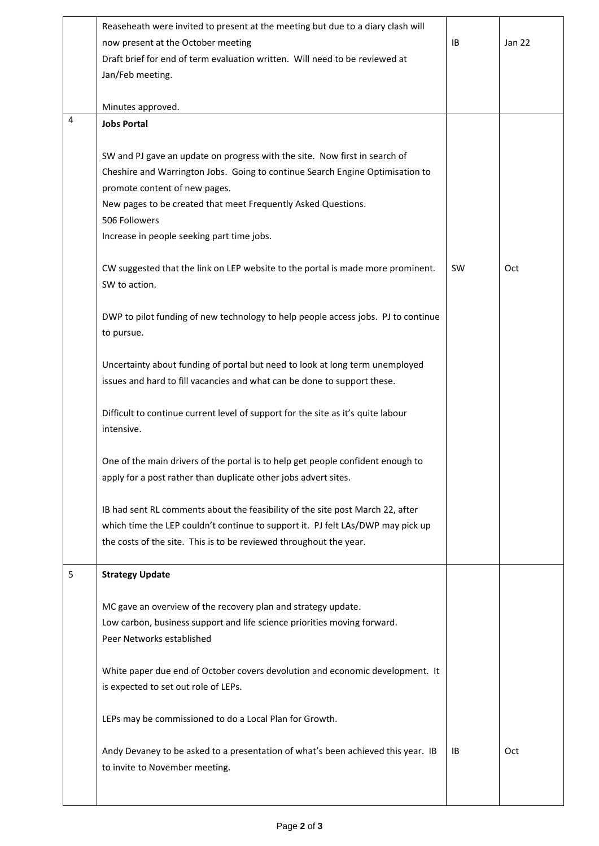|   | Reaseheath were invited to present at the meeting but due to a diary clash will<br>now present at the October meeting<br>Draft brief for end of term evaluation written. Will need to be reviewed at                                                                           | <b>IB</b> | <b>Jan 22</b> |
|---|--------------------------------------------------------------------------------------------------------------------------------------------------------------------------------------------------------------------------------------------------------------------------------|-----------|---------------|
|   | Jan/Feb meeting.                                                                                                                                                                                                                                                               |           |               |
| 4 | Minutes approved.<br><b>Jobs Portal</b>                                                                                                                                                                                                                                        |           |               |
|   |                                                                                                                                                                                                                                                                                |           |               |
|   | SW and PJ gave an update on progress with the site. Now first in search of<br>Cheshire and Warrington Jobs. Going to continue Search Engine Optimisation to<br>promote content of new pages.<br>New pages to be created that meet Frequently Asked Questions.<br>506 Followers |           |               |
|   | Increase in people seeking part time jobs.                                                                                                                                                                                                                                     |           |               |
|   | CW suggested that the link on LEP website to the portal is made more prominent.<br>SW to action.                                                                                                                                                                               | <b>SW</b> | <b>Oct</b>    |
|   | DWP to pilot funding of new technology to help people access jobs. PJ to continue<br>to pursue.                                                                                                                                                                                |           |               |
|   | Uncertainty about funding of portal but need to look at long term unemployed<br>issues and hard to fill vacancies and what can be done to support these.                                                                                                                       |           |               |
|   | Difficult to continue current level of support for the site as it's quite labour<br>intensive.                                                                                                                                                                                 |           |               |
|   | One of the main drivers of the portal is to help get people confident enough to<br>apply for a post rather than duplicate other jobs advert sites.                                                                                                                             |           |               |
|   | IB had sent RL comments about the feasibility of the site post March 22, after<br>which time the LEP couldn't continue to support it. PJ felt LAs/DWP may pick up<br>the costs of the site. This is to be reviewed throughout the year.                                        |           |               |
| 5 | <b>Strategy Update</b>                                                                                                                                                                                                                                                         |           |               |
|   | MC gave an overview of the recovery plan and strategy update.<br>Low carbon, business support and life science priorities moving forward.<br>Peer Networks established                                                                                                         |           |               |
|   | White paper due end of October covers devolution and economic development. It<br>is expected to set out role of LEPs.                                                                                                                                                          |           |               |
|   | LEPs may be commissioned to do a Local Plan for Growth.                                                                                                                                                                                                                        |           |               |
|   | Andy Devaney to be asked to a presentation of what's been achieved this year. IB<br>to invite to November meeting.                                                                                                                                                             | ΙB        | Oct           |

I